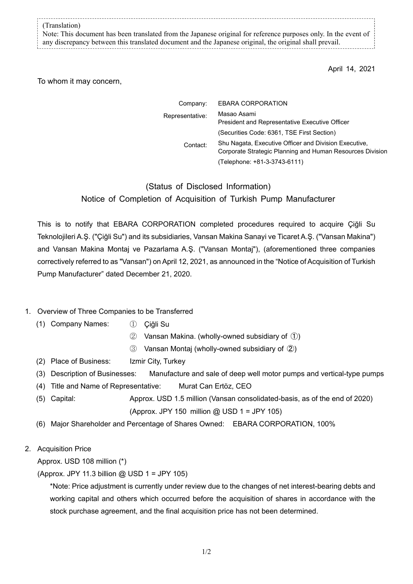| (Translation) |
|---------------|
|---------------|

Note: This document has been translated from the Japanese original for reference purposes only. In the event of any discrepancy between this translated document and the Japanese original, the original shall prevail.

April 14, 2021

To whom it may concern,

| Company:        | <b>EBARA CORPORATION</b>                                                                                           |
|-----------------|--------------------------------------------------------------------------------------------------------------------|
| Representative: | Masao Asami<br><b>President and Representative Executive Officer</b>                                               |
|                 | (Securities Code: 6361, TSE First Section)                                                                         |
| Contact:        | Shu Nagata, Executive Officer and Division Executive,<br>Corporate Strategic Planning and Human Resources Division |
|                 | (Telephone: +81-3-3743-6111)                                                                                       |

(Status of Disclosed Information) Notice of Completion of Acquisition of Turkish Pump Manufacturer

This is to notify that EBARA CORPORATION completed procedures required to acquire Çiğli Su Teknolojileri A.Ş. ("Çiğli Su") and its subsidiaries, Vansan Makina Sanayi ve Ticaret A.Ş. ("Vansan Makina") and Vansan Makina Montaj ve Pazarlama A.Ş. ("Vansan Montaj"), (aforementioned three companies correctively referred to as "Vansan") on April 12, 2021, as announced in the "Notice of Acquisition of Turkish Pump Manufacturer" dated December 21, 2020.

## 1. Overview of Three Companies to be Transferred

- (1) Company Names: ① Çiğli Su
	- ② Vansan Makina. (wholly-owned subsidiary of ①)
	- ③ Vansan Montaj (wholly-owned subsidiary of ②)
- (2) Place of Business: Izmir City, Turkey
- (3) Description of Businesses: Manufacture and sale of deep well motor pumps and vertical-type pumps
- (4) Title and Name of Representative: Murat Can Ertöz, CEO
- (5) Capital: Approx. USD 1.5 million (Vansan consolidated-basis, as of the end of 2020) (Approx. JPY 150 million  $@$  USD 1 = JPY 105)
- (6) Major Shareholder and Percentage of Shares Owned: EBARA CORPORATION, 100%
- 2. Acquisition Price

Approx. USD 108 million (\*)

(Approx. JPY 11.3 billion @ USD 1 = JPY 105)

\*Note: Price adjustment is currently under review due to the changes of net interest-bearing debts and working capital and others which occurred before the acquisition of shares in accordance with the stock purchase agreement, and the final acquisition price has not been determined.